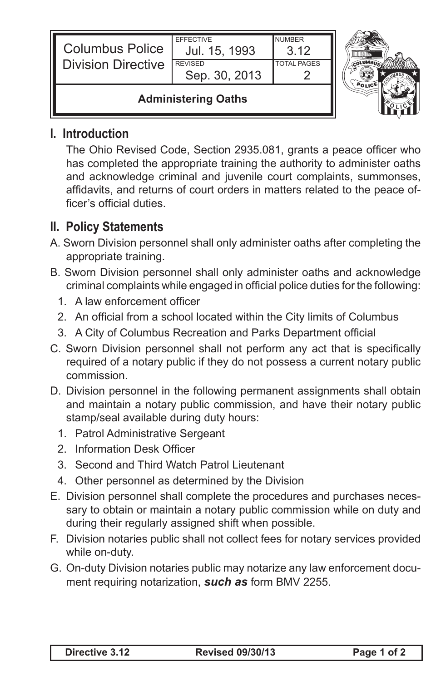| <b>Columbus Police</b><br><b>I</b> Division Directive | <b>EFFECTIVE</b><br>Jul. 15, 1993<br><b>REVISED</b><br>Sep. 30, 2013 | <b>NUMBER</b><br>3.12<br><b>TOTAL PAGES</b> |  |
|-------------------------------------------------------|----------------------------------------------------------------------|---------------------------------------------|--|
| <b>Administering Oaths</b>                            |                                                                      |                                             |  |

## **I. Introduction**

Ш

 The Ohio Revised Code, Section 2935.081, grants a peace officer who has completed the appropriate training the authority to administer oaths and acknowledge criminal and juvenile court complaints, summonses, affidavits, and returns of court orders in matters related to the peace officer's official duties.

## **II. Policy Statements**

- A. Sworn Division personnel shall only administer oaths after completing the appropriate training.
- B. Sworn Division personnel shall only administer oaths and acknowledge criminal complaints while engaged in official police duties for the following:
	- 1. A law enforcement officer
	- 2. An official from a school located within the City limits of Columbus
	- 3. A City of Columbus Recreation and Parks Department official
- C. Sworn Division personnel shall not perform any act that is specifically required of a notary public if they do not possess a current notary public commission.
- D. Division personnel in the following permanent assignments shall obtain and maintain a notary public commission, and have their notary public stamp/seal available during duty hours:
	- 1. Patrol Administrative Sergeant
	- 2. Information Desk Officer
	- 3. Second and Third Watch Patrol Lieutenant
	- 4. Other personnel as determined by the Division
- E. Division personnel shall complete the procedures and purchases necessary to obtain or maintain a notary public commission while on duty and during their regularly assigned shift when possible.
- F. Division notaries public shall not collect fees for notary services provided while on-duty.
- G. On-duty Division notaries public may notarize any law enforcement document requiring notarization, *such as* form BMV 2255.